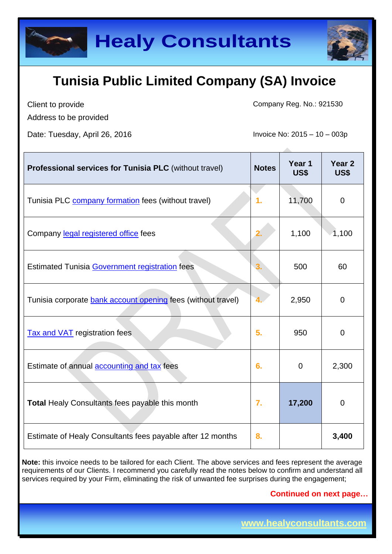



Client to provide Address to be provided Company Reg. No.: 921530

Date: Tuesday, April 26, 2016 **Invoice No: 2015** – 10 – 003p

| <b>Professional services for Tunisia PLC</b> (without travel) | <b>Notes</b> | Year 1<br>US\$ | Year <sub>2</sub><br>US\$ |
|---------------------------------------------------------------|--------------|----------------|---------------------------|
| Tunisia PLC company formation fees (without travel)           | 1.           | 11,700         | $\overline{0}$            |
| Company legal registered office fees                          | 2.           | 1,100          | 1,100                     |
| <b>Estimated Tunisia Government registration fees</b>         |              | 500            | 60                        |
| Tunisia corporate bank account opening fees (without travel)  |              | 2,950          | $\overline{0}$            |
| <b>Tax and VAT</b> registration fees                          | 5.           | 950            | $\mathbf 0$               |
| Estimate of annual <b>accounting and tax</b> fees             | 6.           | 0              | 2,300                     |
| <b>Total Healy Consultants fees payable this month</b>        | 7.           | 17,200         | $\Omega$                  |
| Estimate of Healy Consultants fees payable after 12 months    | 8.           |                | 3,400                     |

**Note:** this invoice needs to be tailored for each Client. The above services and fees represent the average requirements of our Clients. I recommend you carefully read the notes below to confirm and understand all services required by your Firm, eliminating the risk of unwanted fee surprises during the engagement;

**Continued on next page…**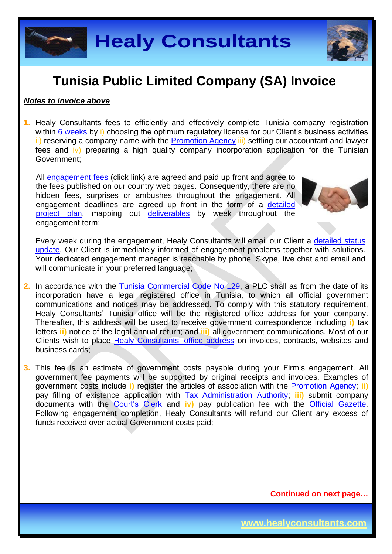**Healy Consultants**

#### **Tunisia Public Limited Company (SA) Invoice**

#### *Notes to invoice above*

**1.** Healy Consultants fees to efficiently and effectively complete Tunisia company registration within 6 [weeks](http://www.healyconsultants.com/tunisia-company-registration/fees-timelines/#timelines) by i) choosing the optimum regulatory license for our Client's business activities ii) reserving a company name with the [Promotion Agency](http://www.tunisieindustrie.nat.tn/fr/doc.asp?mcat=13&mrub=96) iii) settling our accountant and lawyer fees and iv) preparing a high quality company incorporation application for the Tunisian Government;

All [engagement fees](http://www.healyconsultants.com/company-registration-fees/) (click link) are agreed and paid up front and agree to the fees published on our country web pages. Consequently, there are no hidden fees, surprises or ambushes throughout the engagement. All engagement deadlines are agreed up front in the form of a [detailed](http://www.healyconsultants.com/index-important-links/example-project-plan/)  [project plan,](http://www.healyconsultants.com/index-important-links/example-project-plan/) mapping out [deliverables](http://www.healyconsultants.com/deliverables-to-our-clients/) by week throughout the engagement term;

Every week during the engagement, Healy Consultants will email our Client a [detailed status](http://www.healyconsultants.com/index-important-links/weekly-engagement-status-email/)  [update.](http://www.healyconsultants.com/index-important-links/weekly-engagement-status-email/) Our Client is immediately informed of engagement problems together with solutions. Your dedicated engagement manager is reachable by phone, Skype, live chat and email and will communicate in your preferred language;

- **2.** In accordance with the [Tunisia Commercial Code No 129,](http://www.wipo.int/wipolex/en/text.jsp?file_id=202217) a PLC shall as from the date of its incorporation have a legal registered office in Tunisia, to which all official government communications and notices may be addressed. To comply with this statutory requirement, Healy Consultants' Tunisia office will be the registered office address for your company. Thereafter, this address will be used to receive government correspondence including **i)** tax letters **ii)** notice of the legal annual return; and **iii)** all government communications. Most of our Clients wish to place [Healy Consultants'](http://www.healyconsultants.com/corporate-outsourcing-services/company-secretary-and-legal-registered-office/) office address on invoices, contracts, websites and business cards;
- **3.** This fee is an estimate of government costs payable during your Firm's engagement. All government fee payments will be supported by original receipts and invoices. Examples of government costs include **i)** register the articles of association with the [Promotion Agency;](http://www.tunisieindustrie.nat.tn/fr/doc.asp?mcat=13&mrub=96) **ii)** pay filling of existence application with [Tax Administration Authority;](http://www.pm.gov.tn/pm/article/article.php?id=199&lang=en) **iii)** submit company documents with the [Court's Clerk](http://www.tunisieindustrie.nat.tn/en/doc.asp?mcat=13&mrub=99&msrub=184&dev=true#&tar&) and **iv)** pay publication fee with the [Official Gazette.](http://www.linguee.com/french-english/translation/journal+officiel+de+la+r%C3%A9publique+tunisienne.html) Following engagement completion, Healy Consultants will refund our Client any excess of funds received over actual Government costs paid;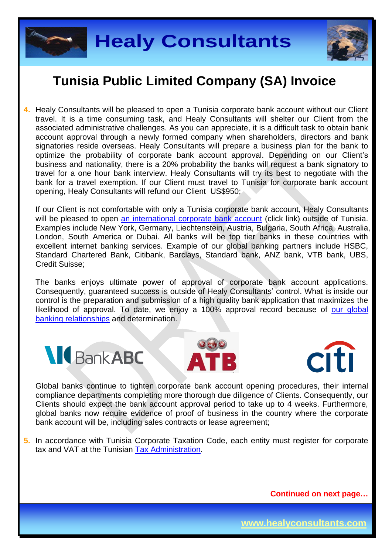



**4.** Healy Consultants will be pleased to open a Tunisia corporate bank account without our Client travel. It is a time consuming task, and Healy Consultants will shelter our Client from the associated administrative challenges. As you can appreciate, it is a difficult task to obtain bank account approval through a newly formed company when shareholders, directors and bank signatories reside overseas. Healy Consultants will prepare a business plan for the bank to optimize the probability of corporate bank account approval. Depending on our Client's business and nationality, there is a 20% probability the banks will request a bank signatory to travel for a one hour bank interview. Healy Consultants will try its best to negotiate with the bank for a travel exemption. If our Client must travel to Tunisia for corporate bank account opening, Healy Consultants will refund our Client US\$950;

If our Client is not comfortable with only a Tunisia corporate bank account, Healy Consultants will be pleased to open [an international corporate bank account](http://www.healyconsultants.com/international-banking/) (click link) outside of Tunisia. Examples include New York, Germany, Liechtenstein, Austria, Bulgaria, South Africa, Australia, London, South America or Dubai. All banks will be top tier banks in these countries with excellent internet banking services. Example of our global banking partners include HSBC, Standard Chartered Bank, Citibank, Barclays, Standard bank, ANZ bank, VTB bank, UBS, Credit Suisse;

The banks enjoys ultimate power of approval of corporate bank account applications. Consequently, guaranteed success is outside of Healy Consultants' control. What is inside our control is the preparation and submission of a high quality bank application that maximizes the likelihood of approval. To date, we enjoy a 100% approval record because of our global [banking relationships](http://www.healyconsultants.com/international-banking/corporate-accounts/) and determination.







Global banks continue to tighten corporate bank account opening procedures, their internal compliance departments completing more thorough due diligence of Clients. Consequently, our Clients should expect the bank account approval period to take up to 4 weeks. Furthermore, global banks now require evidence of proof of business in the country where the corporate bank account will be, including sales contracts or lease agreement;

**5.** In accordance with Tunisia Corporate Taxation Code, each entity must register for corporate tax and VAT at the Tunisian [Tax Administration.](http://www.pm.gov.tn/pm/article/article.php?id=199&lang=en)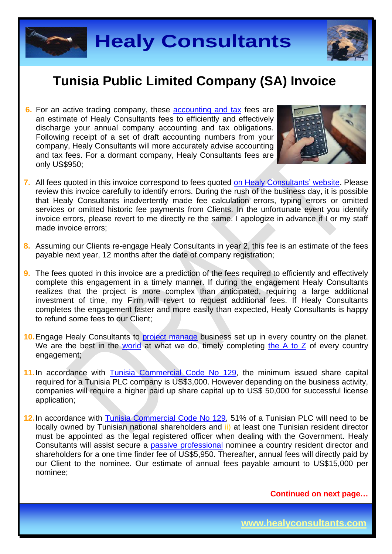



**6.** For an active trading company, these **accounting and tax fees are** an estimate of Healy Consultants fees to efficiently and effectively discharge your annual company accounting and tax obligations. Following receipt of a set of draft accounting numbers from your company, Healy Consultants will more accurately advise accounting and tax fees. For a dormant company, Healy Consultants fees are only US\$950;



- **7.** All fees quoted in this invoice correspond to fees quoted [on Healy Consultants'](http://www.healyconsultants.com/company-registration-fees/) website. Please review this invoice carefully to identify errors. During the rush of the business day, it is possible that Healy Consultants inadvertently made fee calculation errors, typing errors or omitted services or omitted historic fee payments from Clients. In the unfortunate event you identify invoice errors, please revert to me directly re the same. I apologize in advance if I or my staff made invoice errors;
- **8.** Assuming our Clients re-engage Healy Consultants in year 2, this fee is an estimate of the fees payable next year, 12 months after the date of company registration;
- **9.** The fees quoted in this invoice are a prediction of the fees required to efficiently and effectively complete this engagement in a timely manner. If during the engagement Healy Consultants realizes that the project is more complex than anticipated, requiring a large additional investment of time, my Firm will revert to request additional fees. If Healy Consultants completes the engagement faster and more easily than expected, Healy Consultants is happy to refund some fees to our Client;
- **10.** Engage Healy Consultants to [project manage](http://www.healyconsultants.com/project-manage-engagements/) business set up in every country on the planet. We are the best in the [world](http://www.healyconsultants.com/best-in-the-world/) at what we do, timely completing [the A to Z](http://www.healyconsultants.com/a-to-z-of-business-set-up/) of every country engagement;
- 11. In accordance with [Tunisia Commercial Code No 129,](http://www.wipo.int/wipolex/en/text.jsp?file_id=202217) the minimum issued share capital required for a Tunisia PLC company is US\$3,000. However depending on the business activity, companies will require a higher paid up share capital up to US\$ 50,000 for successful license application;
- **12.**In accordance with [Tunisia Commercial Code No 129,](http://www.wipo.int/wipolex/en/text.jsp?file_id=202217) 51% of a Tunisian PLC will need to be locally owned by Tunisian national shareholders and ii) at least one Tunisian resident director must be appointed as the legal registered officer when dealing with the Government. Healy Consultants will assist secure a [passive professional](http://www.healyconsultants.com/resident-director-services/) nominee a country resident director and shareholders for a one time finder fee of US\$5,950. Thereafter, annual fees will directly paid by our Client to the nominee. Our estimate of annual fees payable amount to US\$15,000 per nominee;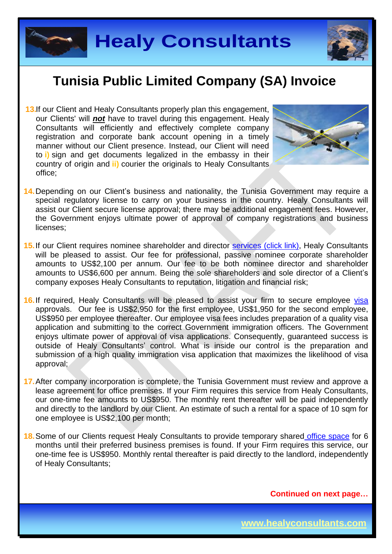



**13.** If our Client and Healy Consultants properly plan this engagement, our Clients' will *not* have to travel during this engagement. Healy Consultants will efficiently and effectively complete company registration and corporate bank account opening in a timely manner without our Client presence. Instead, our Client will need to **i)** sign and get documents legalized in the embassy in their country of origin and **ii)** courier the originals to Healy Consultants office;



- 14. Depending on our Client's business and nationality, the Tunisia Government may require a special regulatory license to carry on your business in the country. Healy Consultants will assist our Client secure license approval; there may be additional engagement fees. However, the Government enjoys ultimate power of approval of company registrations and business licenses;
- 15. If our Client requires nominee shareholder and director services [\(click link\),](http://www.healyconsultants.com/corporate-outsourcing-services/nominee-shareholders-directors/) Healy Consultants will be pleased to assist. Our fee for professional, passive nominee corporate shareholder amounts to US\$2,100 per annum. Our fee to be both nominee director and shareholder amounts to US\$6,600 per annum. Being the sole shareholders and sole director of a Client's company exposes Healy Consultants to reputation, litigation and financial risk;
- 16. If required, Healy Consultants will be pleased to assist your firm to secure employee [visa](http://www.healyconsultants.com/corporate-advisory-services/migration/) approvals. Our fee is US\$2,950 for the first employee, US\$1,950 for the second employee, US\$950 per employee thereafter. Our employee visa fees includes preparation of a quality visa application and submitting to the correct Government immigration officers. The Government enjoys ultimate power of approval of visa applications. Consequently, guaranteed success is outside of Healy Consultants' control. What is inside our control is the preparation and submission of a high quality immigration visa application that maximizes the likelihood of visa approval;
- **17.** After company incorporation is complete, the Tunisia Government must review and approve a lease agreement for office premises. If your Firm requires this service from Healy Consultants, our one-time fee amounts to US\$950. The monthly rent thereafter will be paid independently and directly to the landlord by our Client. An estimate of such a rental for a space of 10 sqm for one employee is US\$2,100 per month;
- **18.** Some of our Clients request Healy Consultants to provide temporary shared [office space](http://www.healyconsultants.com/virtual-office/) for 6 months until their preferred business premises is found. If your Firm requires this service, our one-time fee is US\$950. Monthly rental thereafter is paid directly to the landlord, independently of Healy Consultants;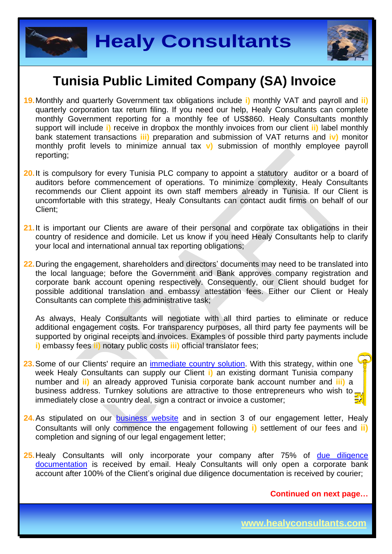



- **19.** Monthly and quarterly Government tax obligations include **i)** monthly VAT and payroll and **ii)**  quarterly corporation tax return filing. If you need our help, Healy Consultants can complete monthly Government reporting for a monthly fee of US\$860. Healy Consultants monthly support will include **i)** receive in dropbox the monthly invoices from our client **ii)** label monthly bank statement transactions **iii)** preparation and submission of VAT returns and **iv)** monitor monthly profit levels to minimize annual tax **v)** submission of monthly employee payroll reporting;
- 20. It is compulsory for every Tunisia PLC company to appoint a statutory auditor or a board of auditors before commencement of operations. To minimize complexity, Healy Consultants recommends our Client appoint its own staff members already in Tunisia. If our Client is uncomfortable with this strategy, Healy Consultants can contact audit firms on behalf of our Client;
- 21. It is important our Clients are aware of their personal and corporate tax obligations in their country of residence and domicile. Let us know if you need Healy Consultants help to clarify your local and international annual tax reporting obligations;
- **22.** During the engagement, shareholders and directors' documents may need to be translated into the local language; before the Government and Bank approves company registration and corporate bank account opening respectively. Consequently, our Client should budget for possible additional translation and embassy attestation fees. Either our Client or Healy Consultants can complete this administrative task;

As always, Healy Consultants will negotiate with all third parties to eliminate or reduce additional engagement costs. For transparency purposes, all third party fee payments will be supported by original receipts and invoices. Examples of possible third party payments include **i)** embassy fees **ii)** notary public costs **iii)** official translator fees;

- **23.**Some of our Clients' require an [immediate country solution.](http://www.healyconsultants.com/turnkey-solutions/) With this strategy, within one week Healy Consultants can supply our Client **i)** an existing dormant Tunisia company number and **ii)** an already approved Tunisia corporate bank account number and **iii)** a business address. Turnkey solutions are attractive to those entrepreneurs who wish to immediately close a country deal, sign a contract or invoice a customer:
- 24. As stipulated on our [business website](http://www.healyconsultants.com/) and in section 3 of our engagement letter, Healy Consultants will only commence the engagement following **i)** settlement of our fees and **ii)** completion and signing of our legal engagement letter;
- 25. Healy Consultants will only incorporate your company after 75% of due diligence [documentation](http://www.healyconsultants.com/due-diligence/) is received by email. Healy Consultants will only open a corporate bank account after 100% of the Client's original due diligence documentation is received by courier;

**Continued on next page…**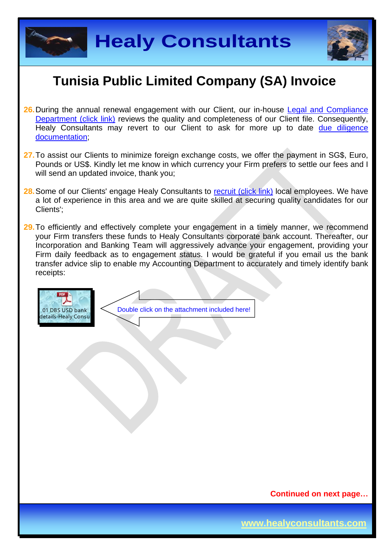



- 26. During the annual renewal engagement with our Client, our in-house Legal and Compliance [Department \(click link\)](http://www.healyconsultants.com/about-us/key-personnel/cai-xin-profile/) reviews the quality and completeness of our Client file. Consequently, Healy Consultants may revert to our Client to ask for more up to date due diligence [documentation;](http://www.healyconsultants.com/due-diligence/)
- **27.** To assist our Clients to minimize foreign exchange costs, we offer the payment in SG\$, Euro, Pounds or US\$. Kindly let me know in which currency your Firm prefers to settle our fees and I will send an updated invoice, thank you;
- 28. Some of our Clients' engage Healy Consultants to [recruit \(click link\)](http://www.healyconsultants.com/corporate-outsourcing-services/how-we-help-our-clients-recruit-quality-employees/) local employees. We have a lot of experience in this area and we are quite skilled at securing quality candidates for our Clients';
- 29. To efficiently and effectively complete your engagement in a timely manner, we recommend your Firm transfers these funds to Healy Consultants corporate bank account. Thereafter, our Incorporation and Banking Team will aggressively advance your engagement, providing your Firm daily feedback as to engagement status. I would be grateful if you email us the bank transfer advice slip to enable my Accounting Department to accurately and timely identify bank receipts:



**Continued on next page…**